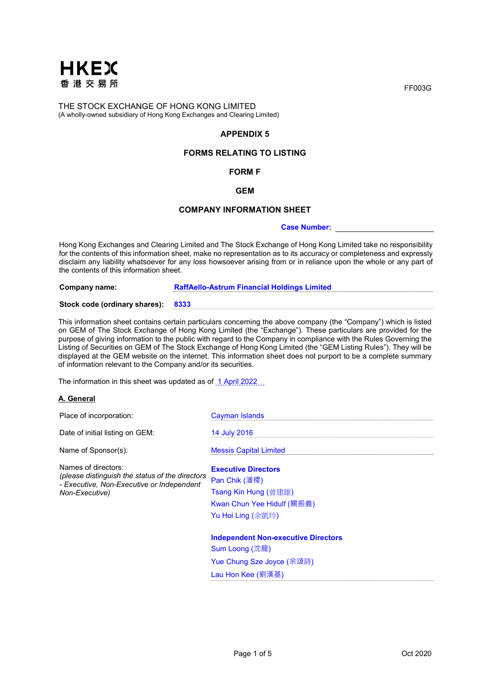

# APPENDIX 5

# FORMS RELATING TO LISTING

# FORM F

### GEM

### COMPANY INFORMATION SHEET

#### Case Number:

Hong Kong Exchanges and Clearing Limited and The Stock Exchange of Hong Kong Limited take no responsibility for the contents of this information sheet, make no representation as to its accuracy or completeness and expressly disclaim any liability whatsoever for any loss howsoever arising from or in reliance upon the whole or any part of the contents of this information sheet.

Company name: RaffAello-Astrum Financial Holdings Limited

#### Stock code (ordinary shares): 8333

This information sheet contains certain particulars concerning the above company (the "Company") which is listed on GEM of The Stock Exchange of Hong Kong Limited (the "Exchange"). These particulars are provided for the purpose of giving information to the public with regard to the Company in compliance with the Rules Governing the Listing of Securities on GEM of The Stock Exchange of Hong Kong Limited (the "GEM Listing Rules"). They will be displayed at the GEM website on the internet. This information sheet does not purport to be a complete summary of information relevant to the Company and/or its securities.

The information in this sheet was updated as of 1 April 2022...

### A. General

| Place of incorporation:                                                                                                               | <b>Cayman Islands</b>                      |
|---------------------------------------------------------------------------------------------------------------------------------------|--------------------------------------------|
| Date of initial listing on GEM:                                                                                                       | 14 July 2016                               |
| Name of Sponsor(s):                                                                                                                   | <b>Messis Capital Limited</b>              |
| Names of directors:<br>(please distinguish the status of the directors<br>- Executive, Non-Executive or Independent<br>Non-Executive) | <b>Executive Directors</b>                 |
|                                                                                                                                       | Pan Chik (潘稷)                              |
|                                                                                                                                       | Tsang Kin Hung (曾建雄)                       |
|                                                                                                                                       | Kwan Chun Yee Hidulf (關振義)                 |
|                                                                                                                                       | Yu Hoi Ling (余凱玲)                          |
|                                                                                                                                       | <b>Independent Non-executive Directors</b> |
|                                                                                                                                       | Sum Loong (沈龍)                             |
|                                                                                                                                       | Yue Chung Sze Joyce (余頌詩)                  |
|                                                                                                                                       | Lau Hon Kee (劉漢基)                          |

FF003G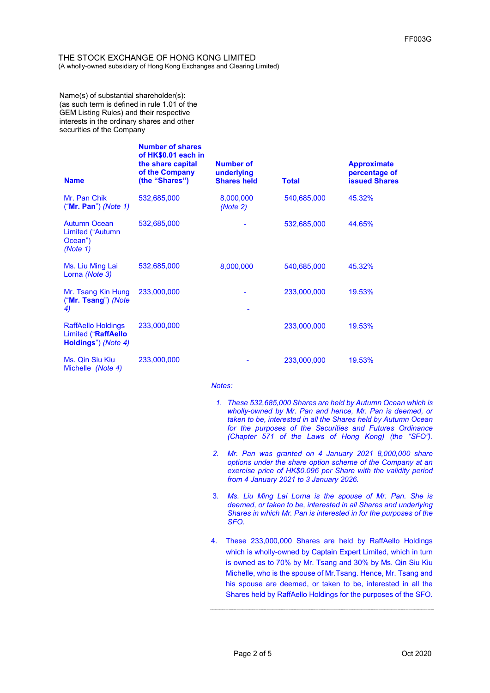Name(s) of substantial shareholder(s): (as such term is defined in rule 1.01 of the GEM Listing Rules) and their respective interests in the ordinary shares and other securities of the Company

| <b>Name</b>                                                             | <b>Number of shares</b><br>of HK\$0.01 each in<br>the share capital<br>of the Company<br>(the "Shares") | <b>Number of</b><br>underlying<br><b>Shares held</b> | <b>Total</b> | <b>Approximate</b><br>percentage of<br><b>issued Shares</b> |
|-------------------------------------------------------------------------|---------------------------------------------------------------------------------------------------------|------------------------------------------------------|--------------|-------------------------------------------------------------|
| Mr. Pan Chik<br>$("Mr. Pan")$ (Note 1)                                  | 532,685,000                                                                                             | 8,000,000<br>(Note 2)                                | 540,685,000  | 45.32%                                                      |
| <b>Autumn Ocean</b><br>Limited ("Autumn<br>Ocean")<br>(Note 1)          | 532,685,000                                                                                             | ۰                                                    | 532,685,000  | 44.65%                                                      |
| Ms. Liu Ming Lai<br>Lorna (Note 3)                                      | 532,685,000                                                                                             | 8,000,000                                            | 540,685,000  | 45.32%                                                      |
| Mr. Tsang Kin Hung<br>("Mr. Tsang") (Note<br>4)                         | 233,000,000                                                                                             |                                                      | 233,000,000  | 19.53%                                                      |
| <b>RaffAello Holdings</b><br>Limited ("RaffAello<br>Holdings") (Note 4) | 233,000,000                                                                                             |                                                      | 233,000,000  | 19.53%                                                      |
| Ms. Qin Siu Kiu<br>Michelle (Note 4)                                    | 233,000,000                                                                                             |                                                      | 233,000,000  | 19.53%                                                      |

#### Notes:

- 1. These 532,685,000 Shares are held by Autumn Ocean which is wholly-owned by Mr. Pan and hence, Mr. Pan is deemed, or taken to be, interested in all the Shares held by Autumn Ocean for the purposes of the Securities and Futures Ordinance (Chapter 571 of the Laws of Hong Kong) (the "SFO").
- 2. Mr. Pan was granted on 4 January 2021 8,000,000 share options under the share option scheme of the Company at an exercise price of HK\$0.096 per Share with the validity period from 4 January 2021 to 3 January 2026.
- 3. Ms. Liu Ming Lai Lorna is the spouse of Mr. Pan. She is deemed, or taken to be, interested in all Shares and underlying Shares in which Mr. Pan is interested in for the purposes of the SFO.
- 4. These 233,000,000 Shares are held by RaffAello Holdings which is wholly-owned by Captain Expert Limited, which in turn is owned as to 70% by Mr. Tsang and 30% by Ms. Qin Siu Kiu Michelle, who is the spouse of Mr.Tsang. Hence, Mr. Tsang and his spouse are deemed, or taken to be, interested in all the Shares held by RaffAello Holdings for the purposes of the SFO.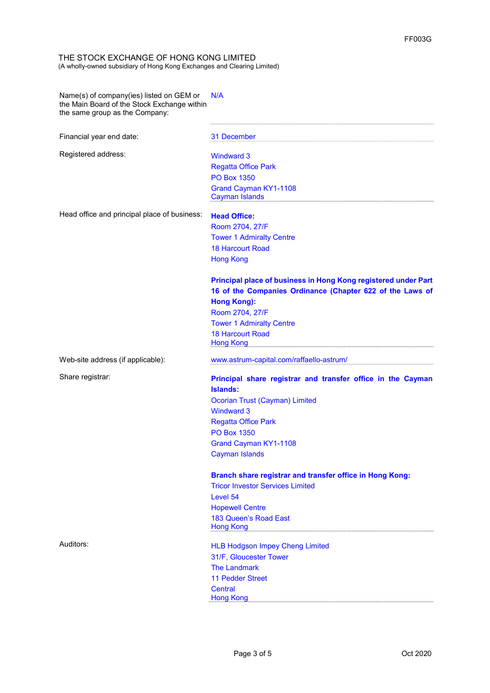Name(s) of company(ies) listed on GEM or the Main Board of the Stock Exchange within the same group as the Company: N/A

Financial year end date: 31 December

Registered address: Windward 3

Regatta Office Park PO Box 1350 Grand Cayman KY1-1108 Cayman Islands

Head office and principal place of business: Head Office:

Room 2704, 27/F Tower 1 Admiralty Centre 18 Harcourt Road Hong Kong

# Principal place of business in Hong Kong registered under Part 16 of the Companies Ordinance (Chapter 622 of the Laws of Hong Kong):

Room 2704, 27/F Tower 1 Admiralty Centre 18 Harcourt Road Hong Kong

Web-site address (if applicable): www.astrum-capital.com/raffaello-astrum/

# Share registrar: **Principal share registrar and transfer office in the Cayman** Islands: Ocorian Trust (Cayman) Limited

Windward 3 Regatta Office Park PO Box 1350 Grand Cayman KY1-1108 Cayman Islands

# Branch share registrar and transfer office in Hong Kong:

Tricor Investor Services Limited Level 54 Hopewell Centre 183 Queen's Road East Hong Kong

Auditors: Auditors: Auditors: Auditors: Auditors: Auditors: Auditors: Auditors: Auditors: Auditors: Auditors: Auditors: Auditors: Auditors: Auditors: Auditors: Auditors: Auditors: Auditors: Auditors: Auditors: Auditors: Au 31/F, Gloucester Tower The Landmark 11 Pedder Street **Central** Hong Kong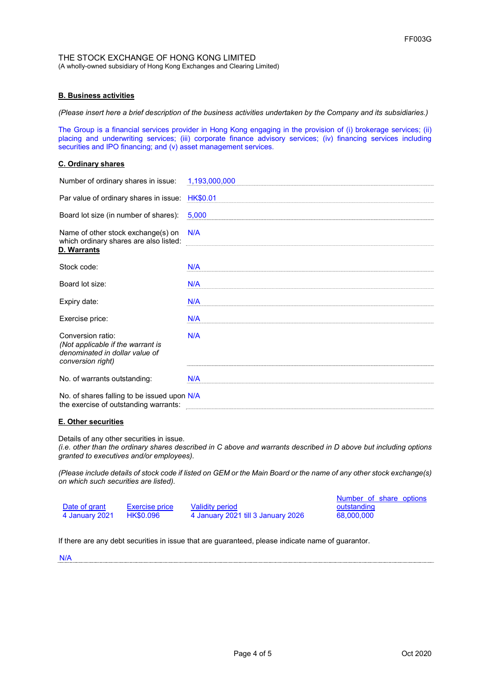# B. Business activities

(Please insert here a brief description of the business activities undertaken by the Company and its subsidiaries.)

The Group is a financial services provider in Hong Kong engaging in the provision of (i) brokerage services; (ii) placing and underwriting services; (iii) corporate finance advisory services; (iv) financing services including securities and IPO financing; and (v) asset management services.

### C. Ordinary shares

| Number of ordinary shares in issue:                                                                           | 1,193,000,000   |
|---------------------------------------------------------------------------------------------------------------|-----------------|
| Par value of ordinary shares in issue:                                                                        | <b>HK\$0.01</b> |
| Board lot size (in number of shares):                                                                         | 5,000           |
| Name of other stock exchange(s) on<br>which ordinary shares are also listed:                                  | N/A             |
| D. Warrants                                                                                                   |                 |
| Stock code:                                                                                                   | N/A             |
| Board lot size:                                                                                               | N/A             |
| Expiry date:                                                                                                  | N/A             |
| Exercise price:                                                                                               | N/A             |
| Conversion ratio:<br>(Not applicable if the warrant is<br>denominated in dollar value of<br>conversion right) | N/A             |
| No. of warrants outstanding:                                                                                  | N/A             |
| No. of shares falling to be issued upon N/A<br>the exercise of outstanding warrants:                          |                 |

# E. Other securities

Details of any other securities in issue.

(i.e. other than the ordinary shares described in C above and warrants described in D above but including options granted to executives and/or employees).

(Please include details of stock code if listed on GEM or the Main Board or the name of any other stock exchange(s) on which such securities are listed).

|                |                |                                    | Number of share options |
|----------------|----------------|------------------------------------|-------------------------|
| Date of grant  | Exercise price | <b>Validity period</b>             | outstanding             |
| 4 January 2021 | HK\$0.096      | 4 January 2021 till 3 January 2026 | 68,000,000              |

If there are any debt securities in issue that are guaranteed, please indicate name of guarantor.

N/A